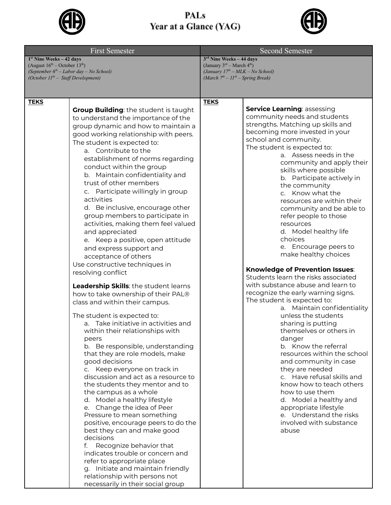

## PALs Year at a Glance (YAG)



| <b>First Semester</b>                                                                                                                                         |                                                                                                                                                                                                                                                                                                                                                                                                                                                                                                                                                                                                                                                                                                                                                                                                                                                                                                                                                                                                                                                                                                                                                                                                                                                                                                                                                                                                                                                                                                                                                           | <b>Second Semester</b>                                                                                                                            |                                                                                                                                                                                                                                                                                                                                                                                                                                                                                                                                                                                                                                                                                                                                                                                                                                                                                                                                                                                                                                                                                                                                                  |
|---------------------------------------------------------------------------------------------------------------------------------------------------------------|-----------------------------------------------------------------------------------------------------------------------------------------------------------------------------------------------------------------------------------------------------------------------------------------------------------------------------------------------------------------------------------------------------------------------------------------------------------------------------------------------------------------------------------------------------------------------------------------------------------------------------------------------------------------------------------------------------------------------------------------------------------------------------------------------------------------------------------------------------------------------------------------------------------------------------------------------------------------------------------------------------------------------------------------------------------------------------------------------------------------------------------------------------------------------------------------------------------------------------------------------------------------------------------------------------------------------------------------------------------------------------------------------------------------------------------------------------------------------------------------------------------------------------------------------------------|---------------------------------------------------------------------------------------------------------------------------------------------------|--------------------------------------------------------------------------------------------------------------------------------------------------------------------------------------------------------------------------------------------------------------------------------------------------------------------------------------------------------------------------------------------------------------------------------------------------------------------------------------------------------------------------------------------------------------------------------------------------------------------------------------------------------------------------------------------------------------------------------------------------------------------------------------------------------------------------------------------------------------------------------------------------------------------------------------------------------------------------------------------------------------------------------------------------------------------------------------------------------------------------------------------------|
| $1st$ Nine Weeks – 42 days<br>(August $16^{th}$ – October $13^{th}$ )<br>(September $6th$ – Labor day – No School)<br>(October $II^{th}$ – Staff Development) |                                                                                                                                                                                                                                                                                                                                                                                                                                                                                                                                                                                                                                                                                                                                                                                                                                                                                                                                                                                                                                                                                                                                                                                                                                                                                                                                                                                                                                                                                                                                                           | $3rd$ Nine Weeks - 44 days<br>(January $3^{rd}$ – March $4^{th}$ )<br>(January $17th - MLK - No School$ )<br>(March $7th - 11th - Spring Break$ ) |                                                                                                                                                                                                                                                                                                                                                                                                                                                                                                                                                                                                                                                                                                                                                                                                                                                                                                                                                                                                                                                                                                                                                  |
| <b>TEKS</b>                                                                                                                                                   |                                                                                                                                                                                                                                                                                                                                                                                                                                                                                                                                                                                                                                                                                                                                                                                                                                                                                                                                                                                                                                                                                                                                                                                                                                                                                                                                                                                                                                                                                                                                                           | <b>TEKS</b>                                                                                                                                       |                                                                                                                                                                                                                                                                                                                                                                                                                                                                                                                                                                                                                                                                                                                                                                                                                                                                                                                                                                                                                                                                                                                                                  |
|                                                                                                                                                               | <b>Group Building:</b> the student is taught<br>to understand the importance of the<br>group dynamic and how to maintain a<br>good working relationship with peers.<br>The student is expected to:<br>a. Contribute to the<br>establishment of norms regarding<br>conduct within the group<br>b. Maintain confidentiality and<br>trust of other members<br>c. Participate willingly in group<br>activities<br>d. Be inclusive, encourage other<br>group members to participate in<br>activities, making them feel valued<br>and appreciated<br>e. Keep a positive, open attitude<br>and express support and<br>acceptance of others<br>Use constructive techniques in<br>resolving conflict<br>Leadership Skills: the student learns<br>how to take ownership of their PAL®<br>class and within their campus.<br>The student is expected to:<br>a. Take initiative in activities and<br>within their relationships with<br>peers<br>b. Be responsible, understanding<br>that they are role models, make<br>good decisions<br>c. Keep everyone on track in<br>discussion and act as a resource to<br>the students they mentor and to<br>the campus as a whole<br>d. Model a healthy lifestyle<br>e. Change the idea of Peer<br>Pressure to mean something<br>positive, encourage peers to do the<br>best they can and make good<br>decisions<br>Recognize behavior that<br>f.<br>indicates trouble or concern and<br>refer to appropriate place<br>g. Initiate and maintain friendly<br>relationship with persons not<br>necessarily in their social group |                                                                                                                                                   | <b>Service Learning: assessing</b><br>community needs and students<br>strengths. Matching up skills and<br>becoming more invested in your<br>school and community.<br>The student is expected to:<br>a. Assess needs in the<br>community and apply their<br>skills where possible<br>b. Participate actively in<br>the community<br>c. Know what the<br>resources are within their<br>community and be able to<br>refer people to those<br>resources<br>d. Model healthy life<br>choices<br>e. Encourage peers to<br>make healthy choices<br>Knowledge of Prevention Issues:<br>Students learn the risks associated<br>with substance abuse and learn to<br>recognize the early warning signs.<br>The student is expected to:<br>a. Maintain confidentiality<br>unless the students<br>sharing is putting<br>themselves or others in<br>danger<br>b. Know the referral<br>resources within the school<br>and community in case<br>they are needed<br>c. Have refusal skills and<br>know how to teach others<br>how to use them<br>d. Model a healthy and<br>appropriate lifestyle<br>e. Understand the risks<br>involved with substance<br>abuse |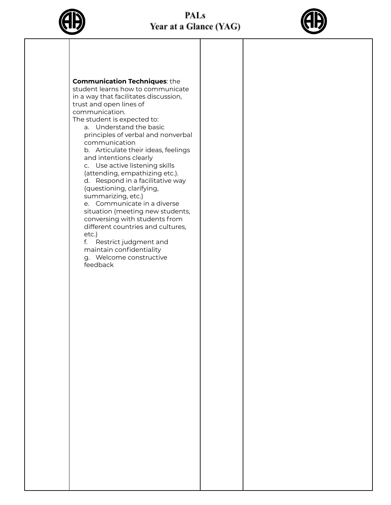## **PALs** Year at a Glance (YAG)





## **Communication Techniques**: the

student learns how to communicate in a way that facilitates discussion, trust and open lines of communication.

The student is expected to:

a. Understand the basic principles of verbal and nonverbal communication

b. Articulate their ideas, feelings and intentions clearly

c. Use active listening skills (attending, empathizing etc.).

d. Respond in a facilitative way (questioning, clarifying, summarizing, etc.)

e. Communicate in a diverse situation (meeting new students, conversing with students from different countries and cultures, etc.)

f. Restrict judgment and maintain confidentiality

g. Welcome constructive feedback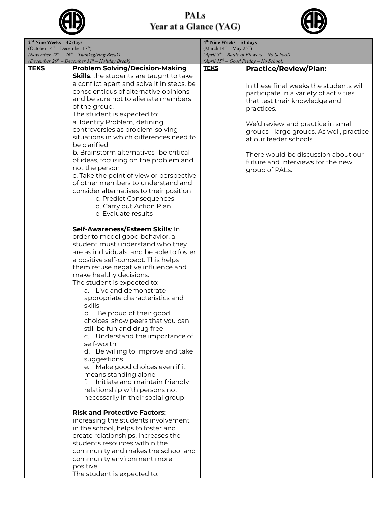

PALs Year at a Glance (YAG)



| $2nd$ Nine Weeks – 42 days                                                                                       |                                                | $4th$ Nine Weeks – 51 days                                                                |                                                                    |
|------------------------------------------------------------------------------------------------------------------|------------------------------------------------|-------------------------------------------------------------------------------------------|--------------------------------------------------------------------|
| (October $14th$ – December $17th$ )                                                                              |                                                | (March $14th - May 25th$ )                                                                |                                                                    |
| (November $22^{nd} - 26^{th} -$ Thanksgiving Break)<br>(December $20^{th}$ – December $31^{st}$ – Holiday Break) |                                                | $(April 8th - Battle of Flowers - No School)$<br>$(April 15th - Good Friday - No School)$ |                                                                    |
| <b>TEKS</b>                                                                                                      | <b>Problem Solving/Decision-Making</b>         | <b>TEKS</b>                                                                               | <b>Practice/Review/Plan:</b>                                       |
|                                                                                                                  | <b>Skills:</b> the students are taught to take |                                                                                           |                                                                    |
|                                                                                                                  | a conflict apart and solve it in steps, be     |                                                                                           | In these final weeks the students will                             |
|                                                                                                                  | conscientious of alternative opinions          |                                                                                           |                                                                    |
|                                                                                                                  | and be sure not to alienate members            |                                                                                           | participate in a variety of activities                             |
|                                                                                                                  | of the group.                                  |                                                                                           | that test their knowledge and                                      |
|                                                                                                                  | The student is expected to:                    |                                                                                           | practices.                                                         |
|                                                                                                                  | a. Identify Problem, defining                  |                                                                                           |                                                                    |
|                                                                                                                  | controversies as problem-solving               |                                                                                           | We'd review and practice in small                                  |
|                                                                                                                  | situations in which differences need to        |                                                                                           | groups - large groups. As well, practice<br>at our feeder schools. |
|                                                                                                                  | be clarified                                   |                                                                                           |                                                                    |
|                                                                                                                  | b. Brainstorm alternatives- be critical        |                                                                                           | There would be discussion about our                                |
|                                                                                                                  | of ideas, focusing on the problem and          |                                                                                           | future and interviews for the new                                  |
|                                                                                                                  | not the person                                 |                                                                                           | group of PALs.                                                     |
|                                                                                                                  | c. Take the point of view or perspective       |                                                                                           |                                                                    |
|                                                                                                                  | of other members to understand and             |                                                                                           |                                                                    |
|                                                                                                                  | consider alternatives to their position        |                                                                                           |                                                                    |
|                                                                                                                  | c. Predict Consequences                        |                                                                                           |                                                                    |
|                                                                                                                  | d. Carry out Action Plan                       |                                                                                           |                                                                    |
|                                                                                                                  | e. Evaluate results                            |                                                                                           |                                                                    |
|                                                                                                                  |                                                |                                                                                           |                                                                    |
|                                                                                                                  | Self-Awareness/Esteem Skills: In               |                                                                                           |                                                                    |
|                                                                                                                  | order to model good behavior, a                |                                                                                           |                                                                    |
|                                                                                                                  | student must understand who they               |                                                                                           |                                                                    |
|                                                                                                                  | are as individuals, and be able to foster      |                                                                                           |                                                                    |
|                                                                                                                  | a positive self-concept. This helps            |                                                                                           |                                                                    |
|                                                                                                                  | them refuse negative influence and             |                                                                                           |                                                                    |
|                                                                                                                  | make healthy decisions.                        |                                                                                           |                                                                    |
|                                                                                                                  | The student is expected to:                    |                                                                                           |                                                                    |
|                                                                                                                  | a. Live and demonstrate                        |                                                                                           |                                                                    |
|                                                                                                                  | appropriate characteristics and                |                                                                                           |                                                                    |
|                                                                                                                  | skills                                         |                                                                                           |                                                                    |
|                                                                                                                  | Be proud of their good<br>b.                   |                                                                                           |                                                                    |
|                                                                                                                  | choices, show peers that you can               |                                                                                           |                                                                    |
|                                                                                                                  | still be fun and drug free                     |                                                                                           |                                                                    |
|                                                                                                                  | c. Understand the importance of                |                                                                                           |                                                                    |
|                                                                                                                  | self-worth                                     |                                                                                           |                                                                    |
|                                                                                                                  | d. Be willing to improve and take              |                                                                                           |                                                                    |
|                                                                                                                  | suggestions                                    |                                                                                           |                                                                    |
|                                                                                                                  | e. Make good choices even if it                |                                                                                           |                                                                    |
|                                                                                                                  | means standing alone                           |                                                                                           |                                                                    |
|                                                                                                                  | Initiate and maintain friendly<br>f.           |                                                                                           |                                                                    |
|                                                                                                                  | relationship with persons not                  |                                                                                           |                                                                    |
|                                                                                                                  | necessarily in their social group              |                                                                                           |                                                                    |
|                                                                                                                  |                                                |                                                                                           |                                                                    |
|                                                                                                                  | <b>Risk and Protective Factors:</b>            |                                                                                           |                                                                    |
|                                                                                                                  | increasing the students involvement            |                                                                                           |                                                                    |
|                                                                                                                  | in the school, helps to foster and             |                                                                                           |                                                                    |
|                                                                                                                  | create relationships, increases the            |                                                                                           |                                                                    |
|                                                                                                                  | students resources within the                  |                                                                                           |                                                                    |
|                                                                                                                  | community and makes the school and             |                                                                                           |                                                                    |
|                                                                                                                  | community environment more                     |                                                                                           |                                                                    |
|                                                                                                                  | positive.                                      |                                                                                           |                                                                    |
|                                                                                                                  | The student is expected to:                    |                                                                                           |                                                                    |